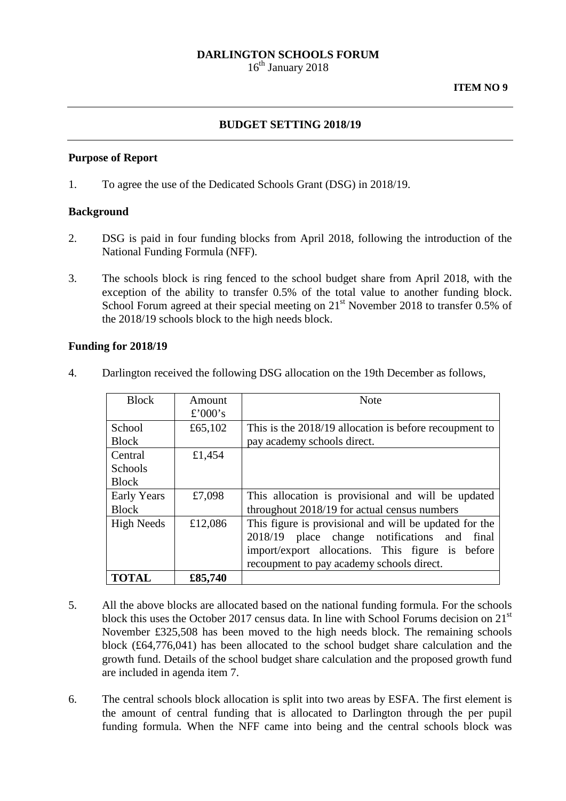### **DARLINGTON SCHOOLS FORUM**

 $16<sup>th</sup>$  January 2018

#### **ITEM NO 9**

### **BUDGET SETTING 2018/19**

#### **Purpose of Report**

1. To agree the use of the Dedicated Schools Grant (DSG) in 2018/19.

#### **Background**

- 2. DSG is paid in four funding blocks from April 2018, following the introduction of the National Funding Formula (NFF).
- 3. The schools block is ring fenced to the school budget share from April 2018, with the exception of the ability to transfer 0.5% of the total value to another funding block. School Forum agreed at their special meeting on  $21<sup>st</sup>$  November 2018 to transfer 0.5% of the 2018/19 schools block to the high needs block.

#### **Funding for 2018/19**

| 4. | Darlington received the following DSG allocation on the 19th December as follows, |  |  |  |  |  |  |  |
|----|-----------------------------------------------------------------------------------|--|--|--|--|--|--|--|
|----|-----------------------------------------------------------------------------------|--|--|--|--|--|--|--|

| <b>Block</b>                       | Amount<br>£'000's | <b>Note</b>                                                                                                                                                                                                   |  |  |  |
|------------------------------------|-------------------|---------------------------------------------------------------------------------------------------------------------------------------------------------------------------------------------------------------|--|--|--|
| School<br><b>Block</b>             | £65,102           | This is the 2018/19 allocation is before recoupment to<br>pay academy schools direct.                                                                                                                         |  |  |  |
| Central<br>Schools<br><b>Block</b> | £1,454            |                                                                                                                                                                                                               |  |  |  |
| <b>Early Years</b><br><b>Block</b> | £7,098            | This allocation is provisional and will be updated<br>throughout 2018/19 for actual census numbers                                                                                                            |  |  |  |
| <b>High Needs</b>                  | £12,086           | This figure is provisional and will be updated for the<br>2018/19 place change notifications<br>final<br>and<br>import/export allocations. This figure is before<br>recoupment to pay academy schools direct. |  |  |  |
| <b>TOTAL</b>                       | £85,740           |                                                                                                                                                                                                               |  |  |  |

- 5. All the above blocks are allocated based on the national funding formula. For the schools block this uses the October 2017 census data. In line with School Forums decision on  $21<sup>st</sup>$ November £325,508 has been moved to the high needs block. The remaining schools block (£64,776,041) has been allocated to the school budget share calculation and the growth fund. Details of the school budget share calculation and the proposed growth fund are included in agenda item 7.
- 6. The central schools block allocation is split into two areas by ESFA. The first element is the amount of central funding that is allocated to Darlington through the per pupil funding formula. When the NFF came into being and the central schools block was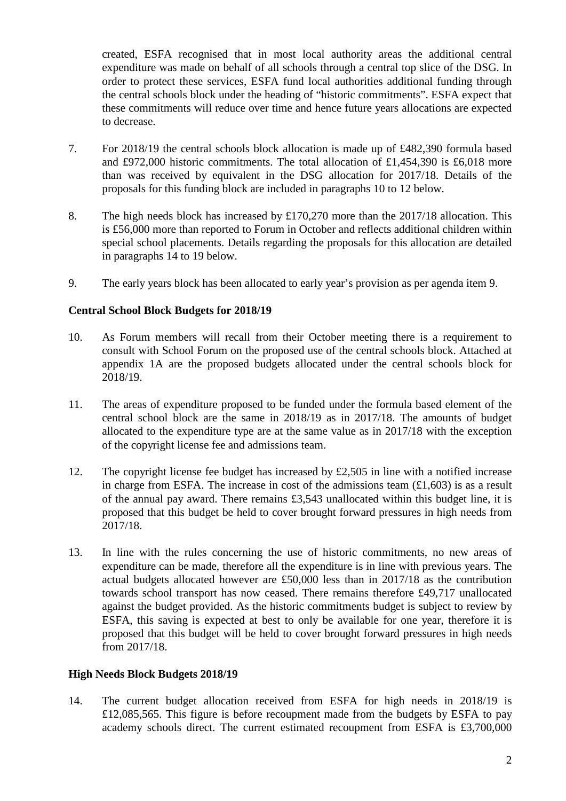created, ESFA recognised that in most local authority areas the additional central expenditure was made on behalf of all schools through a central top slice of the DSG. In order to protect these services, ESFA fund local authorities additional funding through the central schools block under the heading of "historic commitments". ESFA expect that these commitments will reduce over time and hence future years allocations are expected to decrease.

- 7. For 2018/19 the central schools block allocation is made up of £482,390 formula based and £972,000 historic commitments. The total allocation of £1,454,390 is £6,018 more than was received by equivalent in the DSG allocation for 2017/18. Details of the proposals for this funding block are included in paragraphs 10 to 12 below.
- 8. The high needs block has increased by £170,270 more than the 2017/18 allocation. This is £56,000 more than reported to Forum in October and reflects additional children within special school placements. Details regarding the proposals for this allocation are detailed in paragraphs 14 to 19 below.
- 9. The early years block has been allocated to early year's provision as per agenda item 9.

# **Central School Block Budgets for 2018/19**

- 10. As Forum members will recall from their October meeting there is a requirement to consult with School Forum on the proposed use of the central schools block. Attached at appendix 1A are the proposed budgets allocated under the central schools block for 2018/19.
- 11. The areas of expenditure proposed to be funded under the formula based element of the central school block are the same in 2018/19 as in 2017/18. The amounts of budget allocated to the expenditure type are at the same value as in 2017/18 with the exception of the copyright license fee and admissions team.
- 12. The copyright license fee budget has increased by  $\text{\pounds}2,505$  in line with a notified increase in charge from ESFA. The increase in cost of the admissions team  $(\text{\textsterling}1,603)$  is as a result of the annual pay award. There remains £3,543 unallocated within this budget line, it is proposed that this budget be held to cover brought forward pressures in high needs from 2017/18.
- 13. In line with the rules concerning the use of historic commitments, no new areas of expenditure can be made, therefore all the expenditure is in line with previous years. The actual budgets allocated however are £50,000 less than in 2017/18 as the contribution towards school transport has now ceased. There remains therefore £49,717 unallocated against the budget provided. As the historic commitments budget is subject to review by ESFA, this saving is expected at best to only be available for one year, therefore it is proposed that this budget will be held to cover brought forward pressures in high needs from 2017/18.

## **High Needs Block Budgets 2018/19**

14. The current budget allocation received from ESFA for high needs in 2018/19 is £12,085,565. This figure is before recoupment made from the budgets by ESFA to pay academy schools direct. The current estimated recoupment from ESFA is £3,700,000